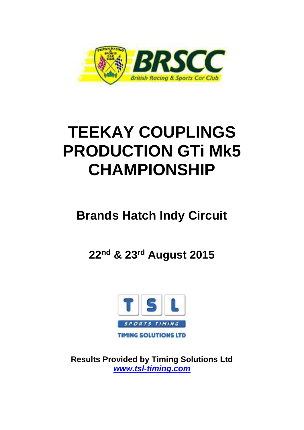

# **TEEKAY COUPLINGS PRODUCTION GTi Mk5 CHAMPIONSHIP**

## **Brands Hatch Indy Circuit**

**22nd & 23rd August 2015**



**Results Provided by Timing Solutions Ltd**  *www.tsl-timing.com*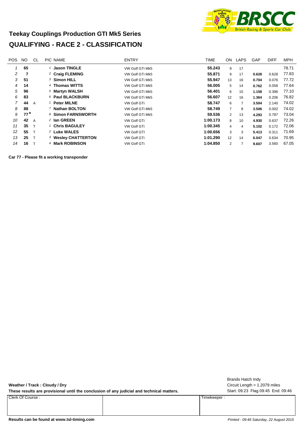

#### **Teekay Couplings Production GTI Mk5 Series QUALIFYING - RACE 2 - CLASSIFICATION**

| <b>POS</b> | NO.   | CL | PIC NAME                       | <b>ENTRY</b>       | <b>TIME</b> | ON             | LAPS | GAP   | <b>DIFF</b> | <b>MPH</b> |
|------------|-------|----|--------------------------------|--------------------|-------------|----------------|------|-------|-------------|------------|
|            | 65    |    | 1 Jason TINGLE                 | VW Golf GTi Mk5    | 55.243      | 9              | 17   |       |             | 78.71      |
| 2          |       |    | <sup>2</sup> Craig FLEMING     | VW Golf GTi Mk5    | 55.871      | 9              | 17   | 0.628 | 0.628       | 77.83      |
| 3          | 51    |    | 3 Simon HILL                   | VW Golf GTi Mk5    | 55.947      | 13             | 16   | 0.704 | 0.076       | 77.72      |
| 4          | 14    |    | 4 Thomas WITTS                 | VW Golf GTi Mk5    | 56,005      | 5              | 14   | 0.762 | 0.058       | 77.64      |
| 5          | 96    |    | 5 Martyn WALSH                 | VW Golf GTi Mk5    | 56.401      | 6              | 15   | 1.158 | 0.396       | 77.10      |
| 6          | 83    |    | 6 Paul BLACKBURN               | VW Golf GTi Mk5    | 56.607      | 12             | 16   | 1.364 | 0.206       | 76.82      |
| 7          | 44    | A  | 1 Peter MILNE                  | <b>VW Golf GTi</b> | 58.747      | 6              | 7    | 3.504 | 2.140       | 74.02      |
| 8          | 88    |    | 7 Nathan BOLTON                | VW Golf GTi Mk5    | 58.749      | $\overline{7}$ | 8    | 3.506 | 0.002       | 74.02      |
| 9          | $77*$ |    | 8 Simon FARNSWORTH             | VW Golf GTi Mk5    | 59.536      | $\overline{2}$ | 13   | 4.293 | 0.787       | 73.04      |
| 10         | 42    | A  | <sup>2</sup> Ian GREEN         | <b>VW Golf GTi</b> | 1:00.173    | 8              | 10   | 4.930 | 0.637       | 72.26      |
| 11         | 35    |    | 1 Chris BAGULEY                | <b>VW Golf GTi</b> | 1:00.345    | 4              | 4    | 5.102 | 0.172       | 72.06      |
| 12         | 55    |    | 2 Luke WALES                   | <b>VW Golf GTI</b> | 1:00.656    | 3              | 3    | 5.413 | 0.311       | 71.69      |
| 13         | 25    |    | <sup>3</sup> Wesley CHATTERTON | <b>VW Golf GTi</b> | 1:01.290    | 12             | 14   | 6.047 | 0.634       | 70.95      |
| 14         | 16    |    | 4 Mark ROBINSON                | <b>VW Golf GTi</b> | 1:04.850    | 2              | 7    | 9.607 | 3.560       | 67.05      |

**Car 77 - Please fit a working transponder**

**Weather / Track : Cloudy / Dry**

These results are provisional until the conclusion of any judicial and technical matters. Start: 09:23 Flag 09:45 End: 09:46

Clerk Of Course : Timekeeper :

Circuit Length = 1.2079 miles Brands Hatch Indy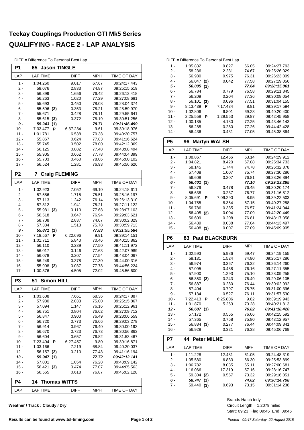#### **Teekay Couplings Production GTI Mk5 Series QUALIFYING - RACE 2 - LAP ANALYSIS**

DIFF = Difference To Personal Best Lap

| P1             | <b>Jason TINGLE</b><br>65 |                |                |                              |  |  |  |  |  |  |  |  |  |
|----------------|---------------------------|----------------|----------------|------------------------------|--|--|--|--|--|--|--|--|--|
| LAP            | <b>LAP TIME</b>           | <b>DIFF</b>    | MPH            | TIME OF DAY                  |  |  |  |  |  |  |  |  |  |
| $1 -$          | 1:04.260                  | 9.017          | 67.67          | 09:24:17.443                 |  |  |  |  |  |  |  |  |  |
| 2 -            | 58.076                    | 2.833          | 74.87          | 09:25:15.519                 |  |  |  |  |  |  |  |  |  |
| 3 -            | 56.899                    | 1.656          | 76.42          | 09:26:12.418                 |  |  |  |  |  |  |  |  |  |
| 4 -            | 56.263                    | 1.020          | 77.29          | 09:27:08.681                 |  |  |  |  |  |  |  |  |  |
| 5 -            | 55.693                    | 0.450          | 78.08          | 09:28:04.374                 |  |  |  |  |  |  |  |  |  |
| 6 -<br>$7 -$   | 55.596<br>(2)<br>55.671   | 0.353<br>0.428 | 78.21<br>78.11 | 09:28:59.970<br>09:29:55.641 |  |  |  |  |  |  |  |  |  |
| 8 -            | 55.615<br>(3)             | 0.372          | 78.19          | 09:30:51.256                 |  |  |  |  |  |  |  |  |  |
| 9 -            | 55.243<br>(1)             |                | 78.71          | 09:31:46.499                 |  |  |  |  |  |  |  |  |  |
| $10 -$         | P<br>7:32.477             | 6:37.234       | 9.61           | 09:39:18.976                 |  |  |  |  |  |  |  |  |  |
| $11 -$         | 1:01.781                  | 6.538          | 70.38          | 09:40:20.757                 |  |  |  |  |  |  |  |  |  |
| $12 -$         | 55.867                    | 0.624          | 77.83          | 09:41:16.624                 |  |  |  |  |  |  |  |  |  |
| $13 -$         | 55.745                    | 0.502          | 78.00          | 09:42:12.369                 |  |  |  |  |  |  |  |  |  |
| $14 -$         | 56.125                    | 0.882          | 77.48          | 09:43:08.494                 |  |  |  |  |  |  |  |  |  |
| $15 -$         | 55.905                    | 0.662          | 77.78          | 09:44:04.399                 |  |  |  |  |  |  |  |  |  |
| $16 -$         | 55.703                    | 0.460          | 78.06          | 09:45:00.102                 |  |  |  |  |  |  |  |  |  |
| $17 -$         | 56.524                    | 1.281          | 76.93          | 09:45:56.626                 |  |  |  |  |  |  |  |  |  |
| P <sub>2</sub> | 7<br><b>Craig FLEMING</b> |                |                |                              |  |  |  |  |  |  |  |  |  |
| LAP            | <b>LAP TIME</b>           | <b>DIFF</b>    | <b>MPH</b>     | TIME OF DAY                  |  |  |  |  |  |  |  |  |  |
| $1 -$          | 1:02.923                  | 7.052          | 69.10          | 09:24:18.611                 |  |  |  |  |  |  |  |  |  |
| 2 -            | 57.586                    | 1.715          | 75.51          | 09:25:16.197                 |  |  |  |  |  |  |  |  |  |
| 3 -            | 57.113                    | 1.242          | 76.14          | 09:26:13.310                 |  |  |  |  |  |  |  |  |  |
| 4 -            | 57.812                    | 1.941          | 75.21          | 09:27:11.122<br>09:28:07.103 |  |  |  |  |  |  |  |  |  |
| 5 -            | 55.981<br>(3)             |                | 77.68<br>0.110 |                              |  |  |  |  |  |  |  |  |  |
| 6 -<br>$7 -$   | 56.518<br>58.708          | 0.647<br>2.837 | 76.94<br>74.07 | 09:29:03.621<br>09:30:02.329 |  |  |  |  |  |  |  |  |  |
| 8 -            | 57.384                    | 1.513          | 09:30:59.713   |                              |  |  |  |  |  |  |  |  |  |
| 9 -            | 55.871<br>(1)             |                | 75.78<br>77.83 | 09:31:55.584                 |  |  |  |  |  |  |  |  |  |
| $10 -$         | 7:18.567<br>P             | 6:22.696       | 9.91           | 09:39:14.151                 |  |  |  |  |  |  |  |  |  |
| 11 -           | 1:01.711                  | 5.840          | 70.46          | 09:40:15.862                 |  |  |  |  |  |  |  |  |  |
| $12 -$         | 56.110                    | 0.239          | 77.50          | 09:41:11.972                 |  |  |  |  |  |  |  |  |  |
| 13 -           | 56.017                    | 0.146          | 77.63          | 09:42:07.989                 |  |  |  |  |  |  |  |  |  |
| $14 -$         | 56.078                    | 0.207          | 77.54          | 09:43:04.067                 |  |  |  |  |  |  |  |  |  |
| $15 -$         | 56.249                    | 0.378          | 77.30          | 09:44:00.316                 |  |  |  |  |  |  |  |  |  |
| $16 -$         | 55.908 (2)                | 0.037          | 77.78          | 09:44:56.224                 |  |  |  |  |  |  |  |  |  |
| $17 -$         | 1:00.376                  | 4.505          | 72.02          | 09:45:56.600                 |  |  |  |  |  |  |  |  |  |
| P <sub>3</sub> | <b>Simon HILL</b><br>51   |                |                |                              |  |  |  |  |  |  |  |  |  |
| LAP            | <b>LAP TIME</b>           | DIFF           | <b>MPH</b>     | <b>TIME OF DAY</b>           |  |  |  |  |  |  |  |  |  |
| 1 -            | 1:03.608                  | 7.661          | 68.36          | 09:24:17.887                 |  |  |  |  |  |  |  |  |  |
| $2 -$          | 57.980                    | 2.033          | 75.00          | 09:25:15.867                 |  |  |  |  |  |  |  |  |  |
| 3 -            | 57.094                    | 1.147          | 76.16          | 09:26:12.961                 |  |  |  |  |  |  |  |  |  |
| 4 -            | 56.751                    | 0.804          | 76.62          | 09:27:09.712                 |  |  |  |  |  |  |  |  |  |
| $5 -$<br>6 -   | 56.847                    | 0.900          | 76.49<br>76.66 | 09:28:06.559<br>09:29:03.279 |  |  |  |  |  |  |  |  |  |
| 7 -            | 56.720<br>56.914          | 0.773<br>0.967 | 76.40          | 09:30:00.193                 |  |  |  |  |  |  |  |  |  |
| $8 -$          | 56.670                    | 0.723          | 76.73          | 09:30:56.863                 |  |  |  |  |  |  |  |  |  |
| 9 -            | 56.604                    | 0.657          | 76.82          | 09:31:53.467                 |  |  |  |  |  |  |  |  |  |
| 10 -           | 7:23.404<br>P             | 6:27.457       | 9.80           | 09:39:16.871                 |  |  |  |  |  |  |  |  |  |
| $11 -$         | 1:03.166                  | 7.219          | 09:40:20.037   |                              |  |  |  |  |  |  |  |  |  |
| $12 -$         | 56.157<br>(2)             | 0.210          | 09:41:16.194   |                              |  |  |  |  |  |  |  |  |  |
| 13 -           | 55.947<br>(1)             |                | 09:42:12.141   |                              |  |  |  |  |  |  |  |  |  |
| $14 -$         | 57.001                    | 1.054          | 76.28          | 09:43:09.142                 |  |  |  |  |  |  |  |  |  |
| 15 -<br>16 -   | (3)<br>56.421<br>56.565   | 0.474<br>0.618 | 77.07<br>76.87 | 09:44:05.563<br>09:45:02.128 |  |  |  |  |  |  |  |  |  |
|                |                           |                |                |                              |  |  |  |  |  |  |  |  |  |
| P4             | <b>Thomas WITTS</b><br>14 |                |                |                              |  |  |  |  |  |  |  |  |  |
| LAP            | <b>LAP TIME</b>           | DIFF           | MPH            | TIME OF DAY                  |  |  |  |  |  |  |  |  |  |

**Weather / Track : Cloudy / Dry**

#### DIFF = Difference To Personal Best Lap

| 1 -    | 1:05.832   |     | 9.827    | 66.05 | 09:24:27.793 |
|--------|------------|-----|----------|-------|--------------|
| 2 -    | 58.236     |     | 2.231    | 74.67 | 09:25:26.029 |
| $3 -$  | 56.980     |     | 0.975    | 76.31 | 09:26:23.009 |
| 4 -    | 56.047 (2) |     | 0.042    | 77.58 | 09:27:19.056 |
| 5 -    | 56.005 (1) |     |          | 77.64 | 09:28:15.061 |
| 6 -    | 56.784     |     | 0.779    | 76.58 | 09:29:11.845 |
| 7 -    | 56.209     |     | 0.204    | 77.36 | 09:30:08.054 |
| 8 -    | 56.101     | (3) | 0.096    | 77.51 | 09:31:04.155 |
| 9 -    | 8:13.439   | Р   | 7:17.434 | 8.81  | 09:39:17.594 |
| $10 -$ | 1:02.806   |     | 6.801    | 69.23 | 09:40:20.400 |
| $11 -$ | 2:25.558   | Р   | 1:29.553 | 29.87 | 09:42:45.958 |
| $12 -$ | 1:00.185   |     | 4.180    | 72.25 | 09:43:46.143 |
| $13 -$ | 56.285     |     | 0.280    | 77.26 | 09:44:42.428 |
| $14 -$ | 56.436     |     | 0.431    | 77.05 | 09:45:38.864 |

| P5     | <b>Martyn WALSH</b><br>96. |             |            |              |
|--------|----------------------------|-------------|------------|--------------|
| LAP    | <b>LAP TIME</b>            | <b>DIFF</b> | <b>MPH</b> | TIME OF DAY  |
| 1 -    | 1:08.867                   | 12.466      | 63.14      | 09:24:29.912 |
| $2 -$  | 1:04.821                   | 8.420       | 67.08      | 09:25:34.733 |
| 3 -    | 58.145                     | 1.744       | 74.78      | 09:26:32.878 |
| $4 -$  | 57.408                     | 1.007       | 75.74      | 09:27:30.286 |
| 5 -    | 56.608                     | 0.207       | 76.81      | 09:28:26.894 |
| 6 -    | 56.401 (1)                 |             | 77.10      | 09:29:23.295 |
| 7 -    | 56.879                     | 0.478       | 76.45      | 09:30:20.174 |
| 8 -    | 56.638                     | 0.237       | 76.77      | 09:31:16.812 |
| 9 -    | 8:05.691<br>P              | 7:09.290    | 8.95       | 09:39:22.503 |
| $10 -$ | 1:04.755                   | 8.354       | 67.15      | 09:40:27.258 |
| $11 -$ | 56.786                     | 0.385       | 76.57      | 09:41:24.044 |
| $12 -$ | 56.405<br>(2)              | 0.004       | 77.09      | 09:42:20.449 |
| $13 -$ | 56.609                     | 0.208       | 76.81      | 09:43:17.058 |
| $14 -$ | 56.439                     | 0.038       | 77.04      | 09:44:13.497 |
| 15 -   | 56.408<br>(3)              | 0.007       | 77.09      | 09:45:09.905 |

#### **P6 83 Paul BLACKBURN**

| LAP    | <b>LAP TIME</b> | DIFF     | <b>MPH</b> | TIME OF DAY  |
|--------|-----------------|----------|------------|--------------|
| 1 -    | 1:02.593        | 5.986    | 69.47      | 09:24:19.155 |
| 2 -    | 58.131          | 1.524    | 74.80      | 09:25:17.286 |
| $3 -$  | 56.974          | 0.367    | 76.32      | 09:26:14.260 |
| $4 -$  | 57.095          | 0.488    | 76.16      | 09:27:11.355 |
| $5 -$  | 57.900          | 1.293    | 75.10      | 09:28:09.255 |
| $6 -$  | 56.850 (2)      | 0.243    | 76.49      | 09:29:06.105 |
| 7 -    | 56.887          | 0.280    | 76.44      | 09:30:02.992 |
| 8 -    | 57.404          | 0.797    | 75.75      | 09:31:00.396 |
| 9 -    | 57.134          | 0.527    | 76.11      | 09:31:57.530 |
| $10 -$ | P<br>7:22.413   | 6:25.806 | 9.82       | 09:39:19.943 |
| 11 -   | 1:01.870        | 5.263    | 70.28      | 09:40:21.813 |
| $12 -$ | 56.607 (1)      |          | 76.82      | 09:41:18.420 |
| 13 -   | 57.172          | 0.565    | 76.06      | 09:42:15.592 |
| 14 -   | 57.365          | 0.758    | 75.80      | 09:43:12.957 |
| 15 -   | 56.884<br>(3)   | 0.277    | 76.44      | 09:44:09.841 |
| 16 -   | 56.928          | 0.321    | 76.38      | 09:45:06.769 |

| P7    | 44 Peter MILNE |             |            |              |  |  |  |  |  |  |  |  |  |
|-------|----------------|-------------|------------|--------------|--|--|--|--|--|--|--|--|--|
| LAP   | LAP TIME       | <b>DIFF</b> | <b>MPH</b> | TIME OF DAY  |  |  |  |  |  |  |  |  |  |
| 1 -   | 1:11.228       | 12.481      | 61.05      | 09:24:48.319 |  |  |  |  |  |  |  |  |  |
| $2 -$ | 1:05.580       | 6.833       | 66.30      | 09:25:53.899 |  |  |  |  |  |  |  |  |  |
| $3 -$ | 1:06.782       | 8.035       | 65.11      | 09:27:00.681 |  |  |  |  |  |  |  |  |  |
| $4 -$ | 1:16.066       | 17.319      | 57.16      | 09:28:16.747 |  |  |  |  |  |  |  |  |  |
| 5 -   | 59.304 (2)     | 0.557       | 73.32      | 09:29:16.051 |  |  |  |  |  |  |  |  |  |
| 6 -   | 58.747 (1)     |             | 74.02      | 09:30:14.798 |  |  |  |  |  |  |  |  |  |
| 7.    | 59.440<br>(3)  | 0.693       | 73.15      | 09:31:14.238 |  |  |  |  |  |  |  |  |  |

Start: 09:23 Flag 09:45 End: 09:46 Circuit Length = 1.2079 miles Brands Hatch Indy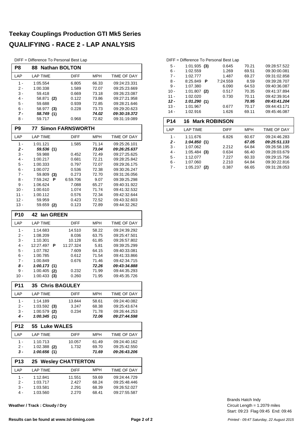#### **Teekay Couplings Production GTI Mk5 Series QUALIFYING - RACE 2 - LAP ANALYSIS**

DIFF = Difference To Personal Best Lap

| $D_{\text{IFT}}$ = $D_{\text{II}}$ energice TO Personal best Lap<br><b>Nathan BOLTON</b> |                             |                         |                |                              |  |  |  |  |  |  |  |  |
|------------------------------------------------------------------------------------------|-----------------------------|-------------------------|----------------|------------------------------|--|--|--|--|--|--|--|--|
| P8                                                                                       | 88                          |                         |                |                              |  |  |  |  |  |  |  |  |
| LAP                                                                                      | <b>LAP TIME</b>             | <b>DIFF</b>             | MPH            | <b>TIME OF DAY</b>           |  |  |  |  |  |  |  |  |
| $1 -$                                                                                    | 1:05.554                    | 6.805                   | 66.33          | 09:24:23.331                 |  |  |  |  |  |  |  |  |
| 2 -                                                                                      | 1:00.338                    | 1.589                   | 72.07          | 09:25:23.669                 |  |  |  |  |  |  |  |  |
| 3 -                                                                                      | 59.418                      | 0.669                   | 73.18          | 09:26:23.087                 |  |  |  |  |  |  |  |  |
| 4 -                                                                                      | 58.871<br>(2)               | 0.122                   | 73.86          | 09:27:21.958                 |  |  |  |  |  |  |  |  |
| 5 -<br>6 -                                                                               | 59.688                      | 0.939<br>0.228          | 72.85          | 09:28:21.646                 |  |  |  |  |  |  |  |  |
| 7 -                                                                                      | 58.977<br>(3)<br>58.749 (1) |                         | 73.73<br>74.02 | 09:29:20.623<br>09:30:19.372 |  |  |  |  |  |  |  |  |
| 8 -                                                                                      | 59.717                      | 0.968                   | 72.82          | 09:31:19.089                 |  |  |  |  |  |  |  |  |
| P <sub>9</sub>                                                                           | 77                          | <b>Simon FARNSWORTH</b> |                |                              |  |  |  |  |  |  |  |  |
| LAP                                                                                      | <b>LAP TIME</b>             | <b>DIFF</b>             | MPH            | TIME OF DAY                  |  |  |  |  |  |  |  |  |
| $1 -$                                                                                    | 1:01.121                    | 1.585                   | 71.14          | 09:25:26.101                 |  |  |  |  |  |  |  |  |
| 2 -                                                                                      | 59.536 (1)                  |                         | 73.04          | 09:26:25.637                 |  |  |  |  |  |  |  |  |
| 3 -                                                                                      | 59.988                      | 0.452                   | 72.49          | 09:27:25.625                 |  |  |  |  |  |  |  |  |
| 4 -                                                                                      | 1:00.217                    | 0.681                   | 72.21          | 09:28:25.842                 |  |  |  |  |  |  |  |  |
| 5 -                                                                                      | 1:00.333                    | 0.797                   | 72.07          | 09:29:26.175                 |  |  |  |  |  |  |  |  |
| $6 -$                                                                                    | 1:00.072                    | 0.536                   | 72.38          | 09:30:26.247                 |  |  |  |  |  |  |  |  |
| 7 -                                                                                      | 59.809<br>(3)               | 0.273                   | 72.70          | 09:31:26.056                 |  |  |  |  |  |  |  |  |
| 8 -                                                                                      | 7:59.242<br>Р               | 6:59.706                | 9.07           | 09:39:25.298                 |  |  |  |  |  |  |  |  |
| 9 -                                                                                      | 1:06.624                    | 7.088                   | 65.27          | 09:40:31.922                 |  |  |  |  |  |  |  |  |
| $10 -$                                                                                   | 1:00.610                    | 1.074                   | 71.74          | 09:41:32.532                 |  |  |  |  |  |  |  |  |
| 11 -                                                                                     | 1:00.112                    | 0.576                   | 72.34          | 09:42:32.644                 |  |  |  |  |  |  |  |  |
| $12 -$                                                                                   | 59.959                      | 0.423                   | 72.52          | 09:43:32.603                 |  |  |  |  |  |  |  |  |
| 13 -                                                                                     | 59.659 (2)                  | 0.123                   | 72.89          | 09:44:32.262                 |  |  |  |  |  |  |  |  |
| <b>P10</b>                                                                               | 42<br>lan GREEN             |                         |                |                              |  |  |  |  |  |  |  |  |
| LAP                                                                                      | <b>LAP TIME</b>             | <b>DIFF</b>             | MPH            | TIME OF DAY                  |  |  |  |  |  |  |  |  |
| $1 -$                                                                                    | 1:14.683                    | 14.510                  | 58.22          | 09:24:39.292                 |  |  |  |  |  |  |  |  |
| 2 -                                                                                      | 1:08.209                    | 8.036                   | 63.75          | 09:25:47.501                 |  |  |  |  |  |  |  |  |
| 3 -                                                                                      | 1:10.301                    | 10.128                  | 61.85          | 09:26:57.802                 |  |  |  |  |  |  |  |  |
| 4 -                                                                                      | 12:27.497<br>Р              | 11:27.324               | 5.81           | 09:39:25.299                 |  |  |  |  |  |  |  |  |
| 5 -                                                                                      | 1:07.782                    | 7.609                   | 64.15          | 09:40:33.081                 |  |  |  |  |  |  |  |  |
| $6 -$                                                                                    | 1:00.785                    | 0.612                   | 71.54          | 09:41:33.866                 |  |  |  |  |  |  |  |  |
| 7 -                                                                                      | 1:00.849                    | 0.676                   | 71.46          | 09:42:34.715                 |  |  |  |  |  |  |  |  |
| 8 -                                                                                      | 1:00.173(1)                 |                         | 72.26          | 09:43:34.888                 |  |  |  |  |  |  |  |  |
| 9 -                                                                                      | 1:00.405<br>(2)             | 0.232                   | 71.99          | 09:44:35.293                 |  |  |  |  |  |  |  |  |
| $10 -$                                                                                   | 1:00.433(3)                 | 0.260                   | 71.95          | 09:45:35.726                 |  |  |  |  |  |  |  |  |
| <b>P11</b>                                                                               | <b>35 Chris BAGULEY</b>     |                         |                |                              |  |  |  |  |  |  |  |  |
| LAP                                                                                      | <b>LAP TIME</b>             | DIFF                    | MPH            | TIME OF DAY                  |  |  |  |  |  |  |  |  |
| 1 -                                                                                      | 1:14.189                    | 13.844                  | 58.61          | 09:24:40.082                 |  |  |  |  |  |  |  |  |
| 2 -                                                                                      | $1:03.592$ (3)              | 3.247                   | 68.38          | 09:25:43.674                 |  |  |  |  |  |  |  |  |
| 3 -                                                                                      | 1:00.579<br>(2)             | 0.234                   | 71.78          | 09:26:44.253                 |  |  |  |  |  |  |  |  |
| 4 -                                                                                      | 1:00.345(1)                 |                         | 72.06          | 09:27:44.598                 |  |  |  |  |  |  |  |  |
| <b>P12</b>                                                                               | 55 Luke WALES               |                         |                |                              |  |  |  |  |  |  |  |  |
| LAP                                                                                      | <b>LAP TIME</b>             | DIFF                    | <b>MPH</b>     | <b>TIME OF DAY</b>           |  |  |  |  |  |  |  |  |
| $1 -$                                                                                    | 1:10.713                    | 10.057                  | 61.49          | 09:24:40.162                 |  |  |  |  |  |  |  |  |
| 2 -                                                                                      | $1:02.388$ (2)              | 1.732                   | 69.70          | 09:25:42.550                 |  |  |  |  |  |  |  |  |
| 3 -                                                                                      | 1:00.656(1)                 |                         | 71.69          | 09:26:43.206                 |  |  |  |  |  |  |  |  |
| <b>Wesley CHATTERTON</b><br><b>P13</b><br>25                                             |                             |                         |                |                              |  |  |  |  |  |  |  |  |
| LAP                                                                                      | LAP TIME                    | DIFF                    | <b>MPH</b>     | TIME OF DAY                  |  |  |  |  |  |  |  |  |
| 1 -                                                                                      | 1:12.841                    | 11.551                  | 59.69          | 09:24:44.729                 |  |  |  |  |  |  |  |  |
| 2 -                                                                                      | 1:03.717                    | 2.427                   | 68.24          | 09:25:48.446                 |  |  |  |  |  |  |  |  |
| 3 -                                                                                      | 1:03.581                    | 2.291                   | 68.39          | 09:26:52.027                 |  |  |  |  |  |  |  |  |
| 4 -                                                                                      | 1:03.560                    | 2.270                   | 68.41          | 09:27:55.587                 |  |  |  |  |  |  |  |  |

**Weather / Track : Cloudy / Dry**

#### 7 - 1:02.777 1.487 09:31:02.858 69.27 8 - 8:25.849 **P** 7:24.559 8.59 09:39:28.707

| $9 -$      | 1:07.380                | 6.090       | 64.53      | 09:40:36.087 |
|------------|-------------------------|-------------|------------|--------------|
| $10 -$     | 1:01.807<br>(2)         | 0.517       | 70.35      | 09:41:37.894 |
| $11 -$     | 1:02.020                | 0.730       | 70.11      | 09:42:39.914 |
| $12 -$     | 1:01.290(1)             |             | 70.95      | 09:43:41.204 |
| $13 -$     | 1:01.967                | 0.677       | 70.17      | 09:44:43.171 |
| $14 -$     | 1:02.916                | 1.626       | 69.11      | 09:45:46.087 |
| <b>P14</b> | <b>16 Mark ROBINSON</b> |             |            |              |
|            |                         |             |            |              |
| LAP        | <b>LAP TIME</b>         | <b>DIFF</b> | <b>MPH</b> | TIME OF DAY  |
| 1 -        | 1:11.676                | 6.826       | 60.67      | 09:24:46.283 |
| $2 -$      | 1:04.850(1)             |             | 67.05      | 09:25:51.133 |
| $3 -$      | 1:07.062                | 2.212       | 64.84      | 09:26:58.195 |
| 4 -        | 1:05.484<br>(3)         | 0.634       | 66.40      | 09:28:03.679 |

6 - 1:07.060 2.210 64.84 09:30:22.816<br>7 - 1:05.237 (2) 0.387 66.65 09:31:28.053

0.387 66.65 09:31:28.053

5 - 1:01.935 0.645 09:28:57.522 **(3)** 70.21 6 - 1:02.559 1.269 09:30:00.081 69.51

DIFF = Difference To Personal Best Lap

Start: 09:23 Flag 09:45 End: 09:46 Circuit Length = 1.2079 miles Brands Hatch Indy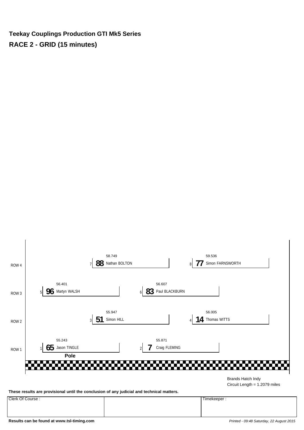**Teekay Couplings Production GTI Mk5 Series RACE 2 - GRID (15 minutes)**



Circuit Length = 1.2079 miles

**These results are provisional until the conclusion of any judicial and technical matters.**

Clerk Of Course : Timekeeper :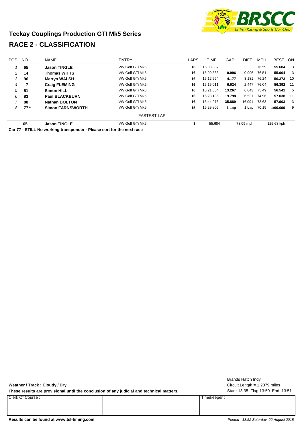

#### **Teekay Couplings Production GTI Mk5 Series RACE 2 - CLASSIFICATION**

| POS. | <b>NO</b> | <b>NAME</b>             | <b>ENTRY</b>       | LAPS | <b>TIME</b> | GAP    | <b>DIFF</b> | <b>MPH</b> | <b>BEST</b> | <b>ON</b> |
|------|-----------|-------------------------|--------------------|------|-------------|--------|-------------|------------|-------------|-----------|
|      | 65        | <b>Jason TINGLE</b>     | VW Golf GTi Mk5    | 16   | 15:08.387   |        |             | 76.59      | 55.684      | 3         |
| 2    | 14        | <b>Thomas WITTS</b>     | VW Golf GTi Mk5    | 16   | 15:09.383   | 0.996  | 0.996       | 76.51      | 55.904      | 3         |
| 3    | 96        | <b>Martyn WALSH</b>     | VW Golf GTi Mk5    | 16   | 15:12.564   | 4.177  | 3.181       | 76.24      | 56.373 10   |           |
| 4    | 7         | <b>Craig FLEMING</b>    | VW Golf GTi Mk5    | 16   | 15:15.011   | 6.624  | 2.447       | 76.04      | 56.392 11   |           |
| 5    | -51       | <b>Simon HILL</b>       | VW Golf GTi Mk5    | 16   | 15:21.654   | 13.267 | 6.643       | 75.49      | 56.541      | -5        |
| 6    | 83        | <b>Paul BLACKBURN</b>   | VW Golf GTi Mk5    | 16   | 15:28.185   | 19.798 | 6.531       | 74.96      | 57.038      | 11        |
| 7    | 88        | <b>Nathan BOLTON</b>    | VW Golf GTi Mk5    | 16   | 15:44.276   | 35,889 | 16.091      | 73.68      | 57.903      | 3         |
| 8    | $77*$     | <b>Simon FARNSWORTH</b> | VW Golf GTi Mk5    | 15   | 15:29.805   | 1 Lap  | 1 Lap       | 70.15      | 1:00.099    | -9        |
|      |           |                         | <b>FASTEST LAP</b> |      |             |        |             |            |             |           |
|      | 65        | <b>Jason TINGLE</b>     | VW Golf GTi Mk5    | 3    | 55.684      |        | 78.09 mph   |            | 125.68 kph  |           |

**Car 77 - STILL No working transponder - Please sort for the next race**

**Weather / Track : Cloudy / Dry** These results are provisional until the conclusion of any judicial and technical matters. Start: 13:35 Flag 13:50 End: 13:51 Circuit Length = 1.2079 miles Brands Hatch Indy Clerk Of Course : Timekeeper :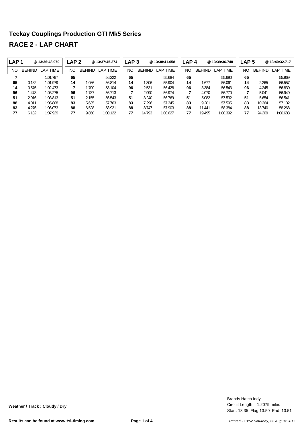| LAP <sub>1</sub> |               | @13:36:48.970 | LAP <sub>2</sub> |               | @13:37:45.374        | LAP <sub>3</sub> |               | @13:38:41.058 | LAP <sub>4</sub> |               | @13:39:36.748                   | LAP <sub>5</sub> |    |               | @13:40:32.717 |
|------------------|---------------|---------------|------------------|---------------|----------------------|------------------|---------------|---------------|------------------|---------------|---------------------------------|------------------|----|---------------|---------------|
| <b>NO</b>        | <b>BEHIND</b> | LAP TIME      | NO               | <b>BEHIND</b> | <b>TIME</b><br>LAP ' | NO               | <b>BEHIND</b> | LAP TIME      | NO               | <b>BEHIND</b> | LAP <sup>-</sup><br><b>TIME</b> | NO               |    | <b>BEHIND</b> | LAP TIME      |
|                  |               | 1:01.797      | 65               |               | 56.222               | 65               |               | 55.684        | 65               |               | 55.690                          |                  | 65 |               | 55.969        |
| 65               | 0.182         | 1:01.979      | 14               | 1.086         | 56.814               | 14               | .306          | 55.904        | 14               | 1.677         | 56.061                          |                  | 14 | 2.265         | 56.557        |
| 14               | 0.676         | 1:02.473      |                  | .700          | 58.104               | 96               | 2.531         | 56.428        | 96               | 3.384         | 56.543                          |                  | 96 | 4.245         | 56.830        |
| 96               | 1.478         | 1:03.275      | 96               | .787          | 56.713               | 7                | 2.990         | 56.974        |                  | 4.070         | 56.770                          |                  |    | 5.041         | 56.940        |
| 51               | 2.016         | 1:03.813      | 51               | 2.155         | 56.543               | 51               | 3.240         | 56.769        | 51               | 5.082         | 57.532                          |                  | 51 | 5.654         | 56.541        |
| 88               | 4.011         | 1:05.808      | 83               | 5.635         | 57.763               | 83               | 7.296         | 57.345        | 83               | 9.201         | 57.595                          |                  | 83 | 10.364        | 57.132        |
| 83               | 4.276         | 1:06.073      | 88               | 6.528         | 58.921               | 88               | 8.747         | 57.903        | 88               | 11.441        | 58.384                          |                  | 88 | 13.740        | 58.268        |
| 77               | 6.132         | 1:07.929      | 77               | 9.850         | 1:00.122             | 77               | 14.793        | 1:00.627      | 77               | 19.495        | 1:00.392                        |                  | 77 | 24.209        | 1:00.683      |

Start: 13:35 Flag 13:50 End: 13:51 Circuit Length = 1.2079 miles Brands Hatch Indy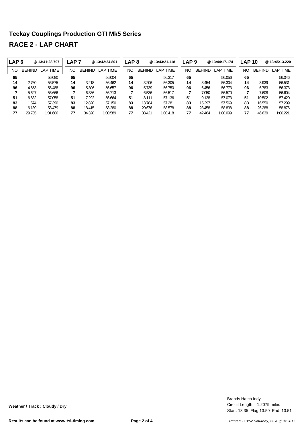| <b>LAP6</b> |               | @13:41:28.797         | <b>LAP 7</b> |               | @13:42:24.801 | LAP <sub>8</sub> |               | @13:43:21.118 | LAP <sub>9</sub> |               | @13:44:17.174 | <b>LAP 10</b> |               | @ 13:45:13.220 |
|-------------|---------------|-----------------------|--------------|---------------|---------------|------------------|---------------|---------------|------------------|---------------|---------------|---------------|---------------|----------------|
| <b>NO</b>   | <b>BEHIND</b> | <b>TIME</b><br>$AP^-$ | NΟ           | <b>BEHIND</b> | LAP TIME      | NO               | <b>BEHIND</b> | LAP TIME      | NΟ               | <b>BEHIND</b> | LAP TIME      | NΟ            | <b>BEHIND</b> | LAP TIME       |
| 65          |               | 56.080                | 65           |               | 56.004        | 65               |               | 56.317        | 65               |               | 56.056        | 65            |               | 56.046         |
| 14          | 2.760         | 56.575                | 14           | 3.218         | 56.462        | 14               | 3.206         | 56.305        | 14               | 3.454         | 56.304        | 14            | 3.939         | 56.531         |
| 96          | 4.653         | 56.488                | 96           | 5.306         | 56.657        | 96               | 5.739         | 56.750        | 96               | 6.456         | 56.773        | 96            | 6.783         | 56.373         |
|             | 5.627         | 56.666                |              | 6.336         | 56.713        | 7                | 6.536         | 56.517        |                  | 7.050         | 56.570        |               | 7.608         | 56.604         |
| 51          | 6.632         | 57.058                | 51           | 7.292         | 56.664        | 51               | 8.111         | 57.136        | 51               | 9.128         | 57.073        | 51            | 10.502        | 57.420         |
| 83          | 11.674        | 57.390                | 83           | 12.820        | 57.150        | 83               | 13.784        | 57.281        | 83               | 15.297        | 57.569        | 83            | 16.550        | 57.299         |
| 88          | 16.139        | 58.479                | 88           | 18.415        | 58.280        | 88               | 20.676        | 58.578        | 88               | 23.458        | 58.838        | 88            | 26.288        | 58.876         |
| 77          | 29.735        | 1:01.606              | 77           | 34.320        | 1:00.589      | 77               | 38.421        | 1:00.418      | 77               | 42.464        | 1:00.099      | 77            | 46.639        | 1:00.221       |

Start: 13:35 Flag 13:50 End: 13:51 Circuit Length = 1.2079 miles Brands Hatch Indy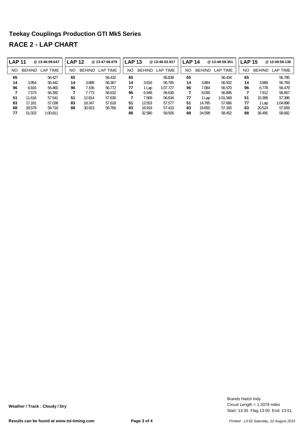| <b>LAP 11</b> |               | @13:46:09.647 | <b>LAP 12</b> |               | @ 13:47:06.079 | <b>LAP 13</b> |               | @13:48:02.917 | <b>LAP 14</b> |               | @13:48:59.351        |    | <b>LAP 15</b> | @13:49:56.136 |
|---------------|---------------|---------------|---------------|---------------|----------------|---------------|---------------|---------------|---------------|---------------|----------------------|----|---------------|---------------|
| <b>NO</b>     | <b>BEHIND</b> | LAP TIME      | NO            | <b>BEHIND</b> | LAP TIME       | NO            | <b>BEHIND</b> | LAP TIME      | NΟ            | <b>BEHIND</b> | ∟AP `<br><b>TIME</b> | NO | <b>BEHIND</b> | LAP TIME      |
| 65            |               | 56.427        | 65            |               | 56.432         | 65            |               | 56.838        | 65            |               | 56.434               | 65 |               | 56.785        |
| 14            | 3.954         | 56.442        | 14            | 3.889         | 56.367         | 14            | 3.816         | 56.765        | 14            | 3.884         | 56.502               | 14 | 3.868         | 56.769        |
| 96            | 6.816         | 56.460        | 96            | 7.156         | 56.772         | 77            | l Lap         | 1:07.727      | 96            | 7.084         | 56.570               | 96 | 6.778         | 56.479        |
|               | 7.573         | 56.392        |               | 7.773         | 56.632         | 96            | 6.948         | 56.630        |               | 8.030         | 56.895               |    | 7.912         | 56.667        |
| 51            | 11.616        | 57.541        | 51            | 12.814        | 57.630         | 7             | 7.569         | 56.634        | 77            | l Lap         | 1:01.569             | 51 | 15.396        | 57.396        |
| 83            | 17.161        | 57.038        | 83            | 18.347        | 57.618         | 51            | 13.553        | 57.577        | 51            | 14.785        | 57.666               | 77 | 1 Lap         | 1:04.896      |
| 88            | 28.579        | 58.718        | 88            | 30.913        | 58.766         | 83            | 18.919        | 57.410        | 83            | 19.650        | 57.165               | 83 | 20.524        | 57.659        |
| 77            | 51.023        | 1:00.811      |               |               |                | 88            | 32.580        | 58.505        | 88            | 34.598        | 58.452               | 88 | 36.495        | 58.682        |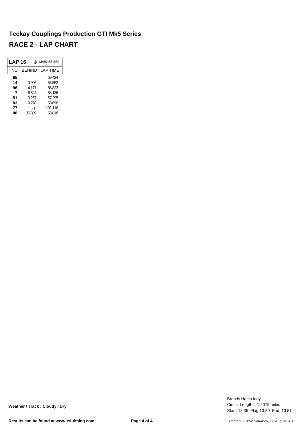| LAP 16 |        | @13:50:55.560 |
|--------|--------|---------------|
| NΟ     | BEHIND | LAP TIME      |
| 65     |        | 59.424        |
| 14     | 0.996  | 56.552        |
| 96     | 4.177  | 56.823        |
| 7      | 6.624  | 58.136        |
| 51     | 13.267 | 57.295        |
| 83     | 19.798 | 58.698        |
| 77     | 1 Lap  | 1:02.116      |
| 88     | 35.889 | 58.818        |

Start: 13:35 Flag 13:50 End: 13:51 Circuit Length = 1.2079 miles Brands Hatch Indy

**Weather / Track : Cloudy / Dry**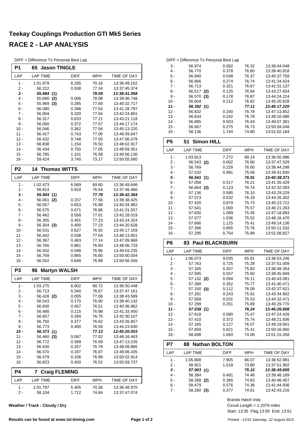DIFF = Difference To Personal Best Lap

| P <sub>1</sub> | <b>Jason TINGLE</b><br>65 |                |                |                              |  |  |  |
|----------------|---------------------------|----------------|----------------|------------------------------|--|--|--|
| LAP            | <b>LAP TIME</b>           | DIFF           | MPH            | TIME OF DAY                  |  |  |  |
| 1 -            | 1:01.979                  | 6.295          | 70.16          | 13:36:49.152                 |  |  |  |
| 2 -            | 56.222                    | 0.538          | 77.34          | 13:37:45.374                 |  |  |  |
| 3 -            | 55.684 (1)                |                | 78.09          | 13:38:41.058                 |  |  |  |
| 4 -<br>5 -     | 55.690<br>(2)             | 0.006          | 78.08<br>77.69 | 13:39:36.748<br>13:40:32.717 |  |  |  |
| 6 -            | 55.969 (3)<br>56.080      | 0.285<br>0.396 | 77.54          | 13:41:28.797                 |  |  |  |
| $7 -$          | 56.004                    | 0.320          | 77.64          | 13:42:24.801                 |  |  |  |
| 8 -            | 56.317                    | 0.633          | 77.21          | 13:43:21.118                 |  |  |  |
| 9 -            | 56.056                    | 0.372          | 77.57          | 13:44:17.174                 |  |  |  |
| $10 -$         | 56.046                    | 0.362          | 77.58          | 13:45:13.220                 |  |  |  |
| 11 -           | 56.427                    | 0.743          | 77.06          | 13:46:09.647                 |  |  |  |
| $12 -$         | 56.432                    | 0.748          | 77.05          | 13:47:06.079                 |  |  |  |
| $13 -$         | 56.838                    | 1.154          | 76.50          | 13:48:02.917                 |  |  |  |
| 14 -<br>$15 -$ | 56.434<br>56.785          | 0.750<br>1.101 | 77.05<br>76.58 | 13:48:59.351<br>13:49:56.136 |  |  |  |
| $16 -$         | 59.424                    | 3.740          | 73.17          | 13:50:55.560                 |  |  |  |
| P <sub>2</sub> | 14<br><b>Thomas WITTS</b> |                |                |                              |  |  |  |
| LAP            | <b>LAP TIME</b>           | DIFF           | MPH            | <b>TIME OF DAY</b>           |  |  |  |
| 1 -            | 1:02.473                  | 6.569          | 69.60          | 13:36:49.646                 |  |  |  |
| 2 -            | 56.814                    | 0.910          | 76.54          | 13:37:46.460                 |  |  |  |
| 3 -            | 55.904 (1)                |                | 77.78          | 13:38:42.364                 |  |  |  |
| 4 -            | 56.061<br>(2)             | 0.157          | 77.56          | 13:39:38.425                 |  |  |  |
| 5 -            | 56.557                    | 0.653          | 76.88          | 13:40:34.982                 |  |  |  |
| 6 -            | 56.575                    | 0.671          | 76.86          | 13:41:31.557                 |  |  |  |
| 7 -            | 56.462                    | 0.558          | 77.01          | 13:42:28.019                 |  |  |  |
| 8 -            | 56.305                    | 0.401          | 77.23          | 13:43:24.324                 |  |  |  |
| 9 -<br>$10 -$  | 56.304 (3)                | 0.400          | 77.23          | 13:44:20.628                 |  |  |  |
| $11 -$         | 56.531<br>56.442          | 0.627<br>0.538 | 76.92<br>77.04 | 13:45:17.159<br>13:46:13.601 |  |  |  |
| $12 -$         | 56.367                    | 0.463          | 77.14          | 13:47:09.968                 |  |  |  |
| $13 -$         | 56.765                    | 0.861          | 76.60          | 13:48:06.733                 |  |  |  |
| $14 -$         | 56.502                    | 0.598          | 76.96          | 13:49:03.235                 |  |  |  |
| $15 -$         | 56.769                    | 0.865          | 76.60          | 13:50:00.004                 |  |  |  |
| 16 -           | 56.552                    | 0.648          | 76.89          | 13:50:56.556                 |  |  |  |
| P <sub>3</sub> | <b>Martyn WALSH</b><br>96 |                |                |                              |  |  |  |
| LAP            | <b>LAP TIME</b>           | <b>DIFF</b>    | MPH            | TIME OF DAY                  |  |  |  |
| $1 -$          | 1:03.275                  | 6.902          | 68.72          | 13:36:50.448                 |  |  |  |
| $2 -$          | 56.713                    | 0.340          | 76.67          | 13:37:47.161                 |  |  |  |
| 3 -            | 56.428 (2)                | 0.055          | 77.06          | 13:38:43.589                 |  |  |  |
| $4 -$          | 56.543                    | 0.170          | 76.90          | 13:39:40.132                 |  |  |  |
| 5 -<br>6 -     | 56.830                    | 0.457<br>0.115 | 76.51<br>76.98 | 13:40:36.962<br>13:41:33.450 |  |  |  |
| $7 -$          | 56.488<br>56.657          | 0.284          | 76.75          | 13:42:30.107                 |  |  |  |
| 8 -            | 56.750                    | 0.377          | 76.62          | 13:43:26.857                 |  |  |  |
| 9 -            | 56.773                    | 0.400          | 76.59          | 13:44:23.630                 |  |  |  |
| 10 -           | 56.373 (1)                |                | 77.13          | 13:45:20.003                 |  |  |  |
| 11 -           | 56.460<br>(3)             | 0.087          | 77.02          | 13:46:16.463                 |  |  |  |
| 12 -           | 56.772                    | 0.399          | 76.59          | 13:47:13.235                 |  |  |  |
| 13 -           | 56.630                    | 0.257          | 76.78          | 13:48:09.865                 |  |  |  |
| 14 -           | 56.570                    | 0.197          | 76.87          | 13:49:06.435                 |  |  |  |
| 15 -           | 56.479                    | 0.106          | 76.99          | 13:50:02.914                 |  |  |  |
| 16 -           | 56.823                    | 0.450          | 76.52          | 13:50:59.737                 |  |  |  |
| P4             | <b>Craig FLEMING</b><br>7 |                |                |                              |  |  |  |
| LAP            | <b>LAP TIME</b>           | <b>DIFF</b>    | <b>MPH</b>     | TIME OF DAY                  |  |  |  |
| $1 -$          | 1:01.797                  | 5.405          | 70.36          | 13:36:48.970                 |  |  |  |
| $2 -$          | 58.104                    | 1.712          | 74.84          | 13:37:47.074                 |  |  |  |

**Weather / Track : Cloudy / Dry**

|        | DIFF = Difference To Personal Best Lap |       |       |              |
|--------|----------------------------------------|-------|-------|--------------|
| $3 -$  | 56.974                                 | 0.582 | 76.32 | 13.38.44.048 |
| 4 -    | 56.770                                 | 0.378 | 76.60 | 13:39:40.818 |
| 5 -    | 56.940                                 | 0.548 | 76.37 | 13:40:37.758 |
| 6 -    | 56.666                                 | 0.274 | 76.74 | 13:41:34.424 |
| 7 -    | 56.713                                 | 0.321 | 76.67 | 13:42:31.137 |
| 8 -    | 56.517<br>(2)                          | 0.125 | 76.94 | 13:43:27.654 |
| $9 -$  | 56.570<br>(3)                          | 0.178 | 76.87 | 13:44:24.224 |
| $10 -$ | 56.604                                 | 0.212 | 76.82 | 13:45:20.828 |
| $11 -$ | 56.392(1)                              |       | 77.11 | 13:46:17.220 |
| $12 -$ | 56.632                                 | 0.240 | 76.78 | 13:47:13.852 |
| $13 -$ | 56.634                                 | 0.242 | 76.78 | 13:48:10.486 |
| $14 -$ | 56.895                                 | 0.503 | 76.43 | 13:49:07.381 |
| $15 -$ | 56.667                                 | 0.275 | 76.73 | 13:50:04.048 |
| 16 -   | 58.136                                 | 1.744 | 74.80 | 13:51:02.184 |

| P5     | <b>Simon HILL</b><br>51     |             |            |              |
|--------|-----------------------------|-------------|------------|--------------|
| LAP    | <b>LAP TIME</b>             | <b>DIFF</b> | <b>MPH</b> | TIME OF DAY  |
| 1 -    | 1:03.813                    | 7.272       | 68.14      | 13:36:50.986 |
| $2 -$  | 56.543<br>(2)               | 0.002       | 76.90      | 13:37:47.529 |
| $3 -$  | 56.769                      | 0.228       | 76.60      | 13:38:44.298 |
| $4 -$  | 57.532                      | 0.991       | 75.58      | 13:39:41.830 |
| 5 -    | 56.541<br>(1)               |             | 76.91      | 13:40:38.371 |
| 6 -    | 57.058                      | 0.517       | 76.21      | 13:41:35.429 |
| $7 -$  | 56.664<br>(3)               | 0.123       | 76.74      | 13:42:32.093 |
| 8 -    | 57.136                      | 0.595       | 76.10      | 13:43:29.229 |
| 9 -    | 57.073                      | 0.532       | 76.19      | 13:44:26.302 |
| $10 -$ | 57.420                      | 0.879       | 75.73      | 13:45:23.722 |
| 11 -   | 57.541                      | 1.000       | 75.57      | 13:46:21.263 |
| $12 -$ | 57.630                      | 1.089       | 75.45      | 13:47:18.893 |
| $13 -$ | 57.577                      | 1.036       | 75.52      | 13:48:16.470 |
| $14 -$ | 57.666                      | 1.125       | 75.41      | 13:49:14.136 |
| $15 -$ | 57.396                      | 0.855       | 75.76      | 13:50:11.532 |
| 16 -   | 57.295                      | 0.754       | 75.89      | 13:51:08.827 |
| P6     | <b>Paul BLACKBURN</b><br>83 |             |            |              |
|        |                             |             |            |              |

| LAP    | <b>LAP TIME</b>            | DIFF  | MPH   | TIME OF DAY  |
|--------|----------------------------|-------|-------|--------------|
| 1 -    | 1:06.073                   | 9.035 | 65.81 | 13:36:53.246 |
| $2 -$  | 57.763                     | 0.725 | 75.28 | 13:37:51.009 |
| $3 -$  | 57.345                     | 0.307 | 75.83 | 13:38:48.354 |
| $4 -$  | 57.595                     | 0.557 | 75.50 | 13:39:45.949 |
| 5 -    | 57.132 (2)                 | 0.094 | 76.11 | 13:40:43.081 |
| 6 -    | 57.390                     | 0.352 | 75.77 | 13:41:40.471 |
| $7 -$  | 57.150<br>(3)              | 0.112 | 76.09 | 13:42:37.621 |
| 8 -    | 57.281                     | 0.243 | 75.91 | 13:43:34.902 |
| 9 -    | 57.569                     | 0.531 | 75.53 | 13:44:32.471 |
| $10 -$ | 57.299                     | 0.261 | 75.89 | 13:45:29.770 |
| $11 -$ | 57.038 (1)                 |       | 76.24 | 13:46:26.808 |
| $12 -$ | 57.618                     | 0.580 | 75.47 | 13:47:24.426 |
| $13 -$ | 57.410                     | 0.372 | 75.74 | 13:48:21.836 |
| $14 -$ | 57.165                     | 0.127 | 76.07 | 13:49:19.001 |
| $15 -$ | 57.659                     | 0.621 | 75.41 | 13:50:16.660 |
| $16 -$ | 58.698                     | 1.660 | 74.08 | 13:51:15.358 |
| P7     | <b>Nathan BOLTON</b><br>88 |       |       |              |

| . .   | 00 INGURU DULI UN |             |            |                    |
|-------|-------------------|-------------|------------|--------------------|
| LAP   | LAP TIME          | <b>DIFF</b> | <b>MPH</b> | <b>TIME OF DAY</b> |
| 1 -   | 1:05.808          | 7.905       | 66.07      | 13:36:52.981       |
| $2 -$ | 58.921            | 1.018       | 73.80      | 13:37:51.902       |
| $3 -$ | 57.903(1)         |             | 75.10      | 13:38:49.805       |
| 4 -   | 58.384            | 0.481       | 74.48      | 13:39:48.189       |
| $5 -$ | 58.268 (2)        | 0.365       | 74.63      | 13:40:46.457       |
| $6 -$ | 58.479            | 0.576       | 74.36      | 13:41:44.936       |
| 7 -   | 58.280<br>(3)     | 0.377       | 74.61      | 13:42:43.216       |

Start: 13:35 Flag 13:50 End: 13:51 Circuit Length = 1.2079 miles Brands Hatch Indy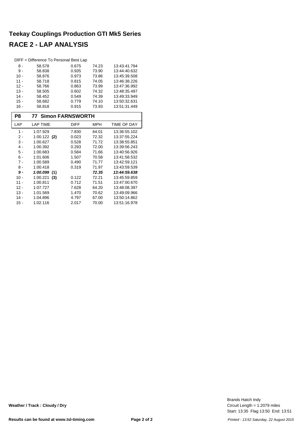| DIFF = Difference To Personal Best Lap |        |       |       |              |  |  |  |
|----------------------------------------|--------|-------|-------|--------------|--|--|--|
| 8 -                                    | 58.578 | 0.675 | 74.23 | 13:43:41.794 |  |  |  |
| 9 -                                    | 58.838 | 0.935 | 73.90 | 13:44:40.632 |  |  |  |
| $10 -$                                 | 58.876 | 0.973 | 73.86 | 13:45:39.508 |  |  |  |
| $11 -$                                 | 58.718 | 0.815 | 74.05 | 13:46:38.226 |  |  |  |
| $12 -$                                 | 58.766 | 0.863 | 73.99 | 13:47:36.992 |  |  |  |
| $13 -$                                 | 58.505 | 0.602 | 74.32 | 13:48:35.497 |  |  |  |
| $14 -$                                 | 58.452 | 0.549 | 74.39 | 13:49:33.949 |  |  |  |
| $15 -$                                 | 58.682 | 0.779 | 74.10 | 13:50:32.631 |  |  |  |
| $16 -$                                 | 58.818 | 0.915 | 73.93 | 13.51.31.449 |  |  |  |

| P8     | <b>77 Simon FARNSWORTH</b> |             |       |              |
|--------|----------------------------|-------------|-------|--------------|
| LAP    | <b>LAP TIME</b>            | <b>DIFF</b> | MPH   | TIME OF DAY  |
| 1 -    | 1:07.929                   | 7.830       | 64.01 | 13:36:55.102 |
| 2 -    | $1:00.122$ (2)             | 0.023       | 72.32 | 13:37:55.224 |
| $3 -$  | 1:00.627                   | 0.528       | 71.72 | 13:38:55.851 |
| 4 -    | 1:00.392                   | 0.293       | 72.00 | 13:39:56.243 |
| 5 -    | 1:00.683                   | 0.584       | 71.66 | 13:40:56.926 |
| $6 -$  | 1:01.606                   | 1.507       | 70.58 | 13:41:58.532 |
| $7 -$  | 1:00.589                   | 0.490       | 71.77 | 13:42:59.121 |
| $8 -$  | 1:00.418                   | 0.319       | 71.97 | 13:43:59.539 |
| 9 -    | 1:00.099<br>(1)            |             | 72.35 | 13:44:59.638 |
| 10 -   | 1:00.221<br>(3)            | 0.122       | 72.21 | 13:45:59.859 |
| 11 -   | 1:00.811                   | 0.712       | 71.51 | 13:47:00.670 |
| $12 -$ | 1:07.727                   | 7.628       | 64.20 | 13:48:08.397 |
| $13 -$ | 1:01.569                   | 1.470       | 70.62 | 13:49:09.966 |
| 14 -   | 1:04.896                   | 4.797       | 67.00 | 13:50:14.862 |
| $15 -$ | 1:02.116                   | 2.017       | 70.00 | 13.51.16.978 |

Start: 13:35 Flag 13:50 End: 13:51 Circuit Length = 1.2079 miles Brands Hatch Indy

**Weather / Track : Cloudy / Dry**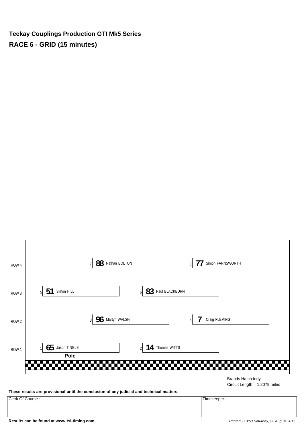**Teekay Couplings Production GTI Mk5 Series RACE 6 - GRID (15 minutes)**



**These results are provisional until the conclusion of any judicial and technical matters.**

Clerk Of Course : Timekeeper :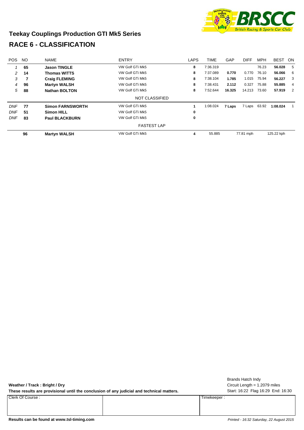

## **Teekay Couplings Production GTI Mk5 Series RACE 6 - CLASSIFICATION**

| <b>POS</b> | <b>NO</b> | <b>NAME</b>             | <b>ENTRY</b>       | <b>LAPS</b> | <b>TIME</b> | GAP    | <b>DIFF</b> | <b>MPH</b> | <b>BEST</b> | ON             |
|------------|-----------|-------------------------|--------------------|-------------|-------------|--------|-------------|------------|-------------|----------------|
|            | 65        | <b>Jason TINGLE</b>     | VW Golf GTi Mk5    | 8           | 7:36.319    |        |             | 76.23      | 56.028      | 5              |
| 2          | 14        | <b>Thomas WITTS</b>     | VW Golf GTi Mk5    | 8           | 7:37.089    | 0.770  | 0.770       | 76.10      | 56.066      | 6              |
| 3          |           | <b>Craig FLEMING</b>    | VW Golf GTi Mk5    | 8           | 7:38.104    | 1.785  | 1.015       | 75.94      | 56.227      | 3              |
| 4          | 96        | <b>Martyn WALSH</b>     | VW Golf GTi Mk5    | 8           | 7:38.431    | 2.112  | 0.327       | 75.88      | 55.885      | $\overline{4}$ |
| 5          | 88        | <b>Nathan BOLTON</b>    | VW Golf GTi Mk5    | 8           | 7:52.644    | 16.325 | 14.213      | 73.60      | 57.919      | 2              |
|            |           |                         | NOT CLASSIFIED     |             |             |        |             |            |             |                |
| <b>DNF</b> | 77        | <b>Simon FARNSWORTH</b> | VW Golf GTi Mk5    |             | 1:08.024    | 7 Laps | 7 Laps      | 63.92      | 1:08.024    |                |
| <b>DNF</b> | 51        | <b>Simon HILL</b>       | VW Golf GTi Mk5    | 0           |             |        |             |            |             |                |
| <b>DNF</b> | 83        | <b>Paul BLACKBURN</b>   | VW Golf GTi Mk5    | 0           |             |        |             |            |             |                |
|            |           |                         | <b>FASTEST LAP</b> |             |             |        |             |            |             |                |
|            | 96        | <b>Martyn WALSH</b>     | VW Golf GTi Mk5    | 4           | 55.885      |        | 77.81 mph   |            | 125.22 kph  |                |

| Weather / Track: Bright / Dry                                                             |             | Brands Hatch Indy<br>Circuit Length = $1.2079$ miles |
|-------------------------------------------------------------------------------------------|-------------|------------------------------------------------------|
| These results are provisional until the conclusion of any judicial and technical matters. |             | Start: 16:22 Flag 16:29 End: 16:30                   |
| Clerk Of Course:                                                                          | Timekeeper: |                                                      |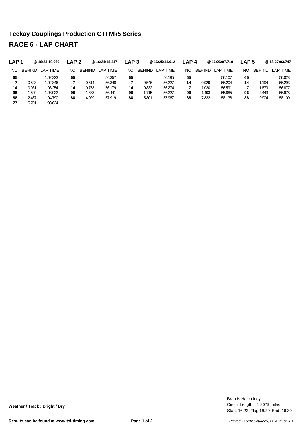| LAP <sub>1</sub> |               | @ 16:23:19.060 | LAP 2 |               | @16:24:15.417   | LAP <sub>3</sub> |               | @ 16:25:11.612 | LAP <sub>4</sub> |               | @ 16:26:07.719  | LAP <sub>5</sub> |               | @16:27:03.747 |
|------------------|---------------|----------------|-------|---------------|-----------------|------------------|---------------|----------------|------------------|---------------|-----------------|------------------|---------------|---------------|
| NO               | <b>BEHIND</b> | LAP TIME       | NO    | <b>BEHIND</b> | <b>LAP TIME</b> | NO               | <b>BEHIND</b> | LAP TIME       | NO               | <b>BEHIND</b> | <b>LAP TIME</b> | NΟ               | <b>BEHIND</b> | LAP TIME      |
| 65               |               | 1:02.323       | 65    |               | 56.357          | 65               |               | 56.195         | 65               |               | 56.107          | 65               |               | 56.028        |
|                  | 0.523         | 1:02.846       |       | 0.514         | 56.348          |                  | 0.546         | 56.227         | 14               | 0.929         | 56.204          | 14               | 1.194         | 56.293        |
| 14               | 0.931         | 1:03.254       | 14    | 0.753         | 56.179          | 14               | 0.832         | 56.274         |                  | 1.030         | 56.591          |                  | 1.879         | 56.877        |
| 96               | .599          | 1:03.922       | 96    | 1.683         | 56.441          | 96               | 1.715         | 56.227         | 96               | 1.493         | 55.885          | 96               | 2.443         | 56.978        |
| 88               | 2.467         | 1:04.790       | 88    | 4.029         | 57.919          | 88               | 5.801         | 57.967         | 88               | 7.832         | 58.138          | 88               | 9.904         | 58.100        |
| 77               | 5.701         | 1:08.024       |       |               |                 |                  |               |                |                  |               |                 |                  |               |               |

Start: 16:22 Flag 16:29 End: 16:30 Circuit Length = 1.2079 miles Brands Hatch Indy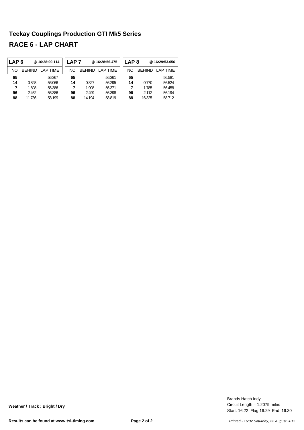| LAP <sub>6</sub> |               | @16:28:00.114   | AP 7 |               | @16:28:56.475   | LAP <sub>8</sub> |               | @16:29:53.056 |
|------------------|---------------|-----------------|------|---------------|-----------------|------------------|---------------|---------------|
| NO               | <b>BEHIND</b> | <b>LAP TIME</b> | NΟ   | <b>BEHIND</b> | <b>LAP TIME</b> | NΟ               | <b>BEHIND</b> | LAP TIME      |
| 65               |               | 56.367          | 65   |               | 56.361          | 65               |               | 56.581        |
| 14               | 0.893         | 56.066          | 14   | 0.827         | 56.295          | 14               | 0.770         | 56.524        |
| 7                | 1.898         | 56.386          |      | 1.908         | 56.371          |                  | 1.785         | 56.458        |
| 96               | 2.462         | 56.386          | 96   | 2.499         | 56.398          | 96               | 2.112         | 56.194        |
| 88               | 11.736        | 58.199          | 88   | 14.194        | 58.819          | 88               | 16.325        | 58.712        |

Start: 16:22 Flag 16:29 End: 16:30 Circuit Length = 1.2079 miles Brands Hatch Indy

**Weather / Track : Bright / Dry**